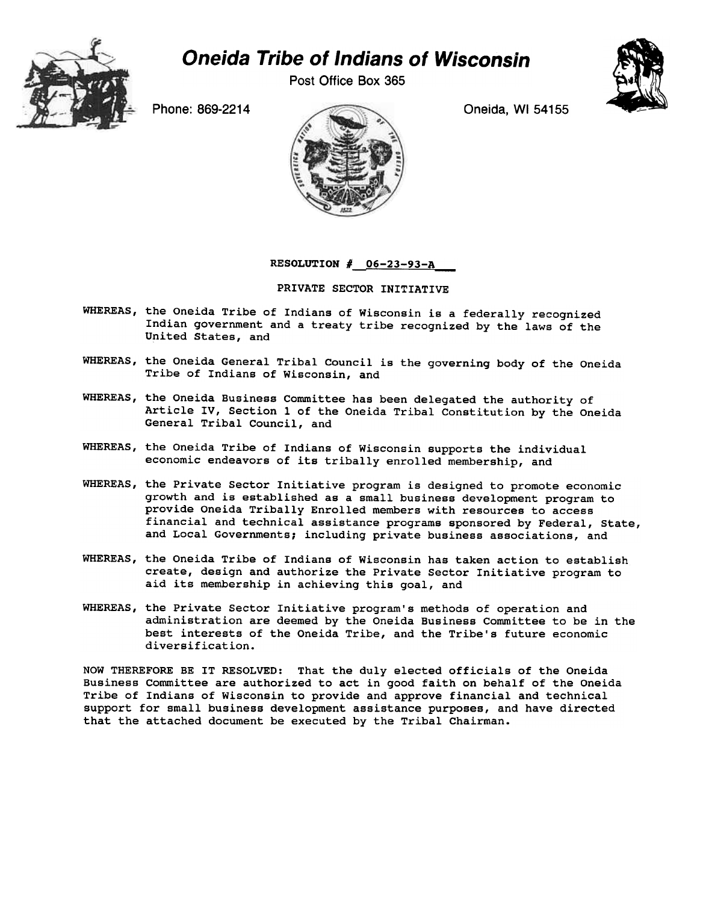

## Oneida Tribe of Indians of Wisconsin

Post Office Box 365





RESOLUTION  $#$  06-23-93-A

## PRIVATE SECTOR INITIATIVE

- WHEREAS, the Oneida Tribe of Indians of Wisconsin is a federally recognized Indian government and a treaty tribe recognized by the laws of the United States, and
- WHEREAS, the Oneida General Tribal Council is the governing body of the Oneida Tribe of Indians of Wisconsin, and
- WHEREAS, the Oneida Business Committee has been delegated the authority of Article IV, Section 1 of the Oneida Tribal Constitution by the Oneida General Tribal Council, and
- WHEREAS, the Oneida Tribe of Indians of Wisconsin supports the individual economic endeavors of its tribally enrolled membership, and
- WHEREAS, the Private Sector Initiative program is designed to promote economic growth and is established as a small business development program to provide Oneida Tribally Enrolled members with resources to access financial and technical assistance programs sponsored by Federal, State, and Local Governments; including private business associations, and
- WHEREAS, the Oneida Tribe of Indians of Wisconsin has taken action to establish create, design and authorize the Private Sector Initiative program to aid its membership in achieving this goal, and
- WHEREAS, the Private Sector Initiative program's methods of operation and administration are deemed by the Oneida Business Committee to be in the best interests of the Oneida Tribe, and the Tribe's future economic diversification.

NOW THEREFORE BE IT RESOLVED: That the duly elected officials of the Oneida Business Committee are authorized to act in good faith on behalf of the Oneida Tribe of Indians of Wisconsin to provide and approve financial and technical support for small business development assistance purposes, and have directed that the attached document be executed by the Tribal Chairman.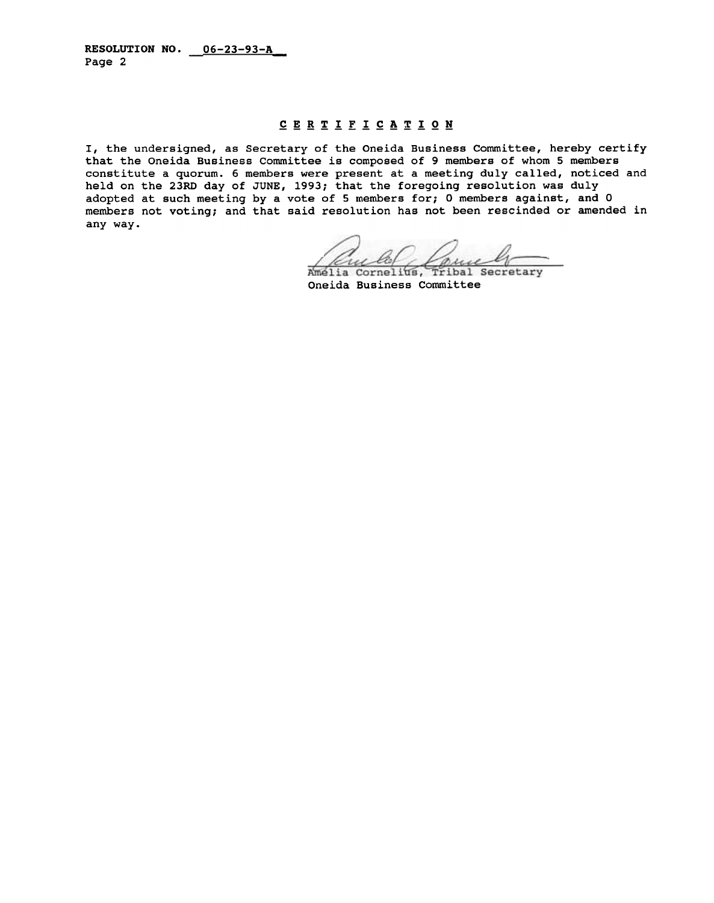## CERTIFICATION

I, the undersigned, as Secretary of the Oneida Business Committee, hereby certify that the Oneida Business Committee is composed of 9 members of whom 5 members constitute a quorum. 6 members were present at a meeting duly called, noticed and held on the 23RD day of JUNE, 1993; that the foregoing resolution was duly adopted at such meeting by a vote of 5 members for; 0 members against, and 0 members not voting; and that said resolution has not been rescinded or amended in any way.

rune w

Amelia Cornelius, Tribal Secretary Oneida Business Committee